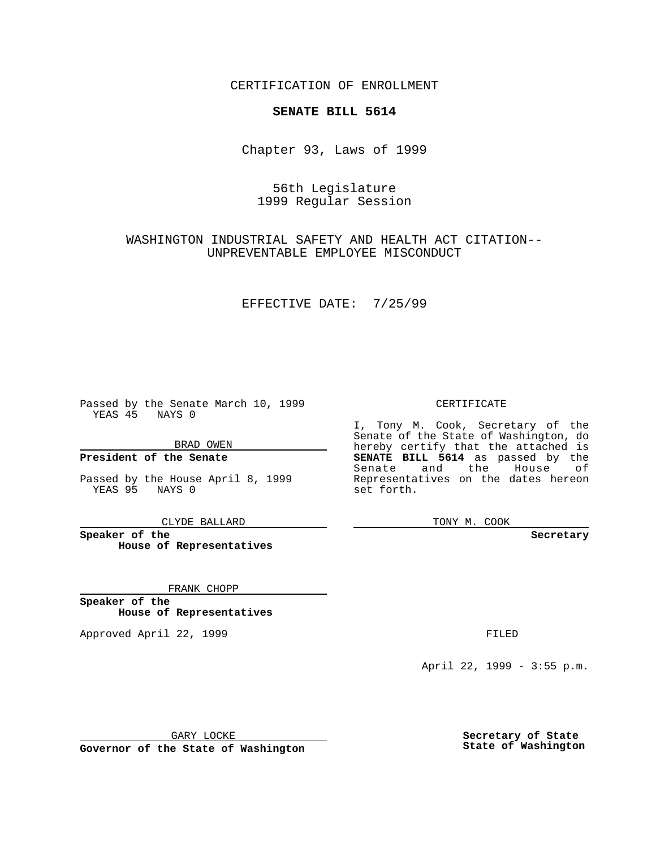CERTIFICATION OF ENROLLMENT

## **SENATE BILL 5614**

Chapter 93, Laws of 1999

## 56th Legislature 1999 Regular Session

## WASHINGTON INDUSTRIAL SAFETY AND HEALTH ACT CITATION-- UNPREVENTABLE EMPLOYEE MISCONDUCT

### EFFECTIVE DATE: 7/25/99

Passed by the Senate March 10, 1999 YEAS 45 NAYS 0

BRAD OWEN

**President of the Senate**

Passed by the House April 8, 1999 YEAS 95 NAYS 0

CLYDE BALLARD

**Speaker of the House of Representatives**

FRANK CHOPP

**Speaker of the House of Representatives**

Approved April 22, 1999 **FILED** 

### CERTIFICATE

I, Tony M. Cook, Secretary of the Senate of the State of Washington, do hereby certify that the attached is **SENATE BILL 5614** as passed by the Senate and the House of Representatives on the dates hereon set forth.

TONY M. COOK

**Secretary**

April 22, 1999 - 3:55 p.m.

GARY LOCKE

**Governor of the State of Washington**

**Secretary of State State of Washington**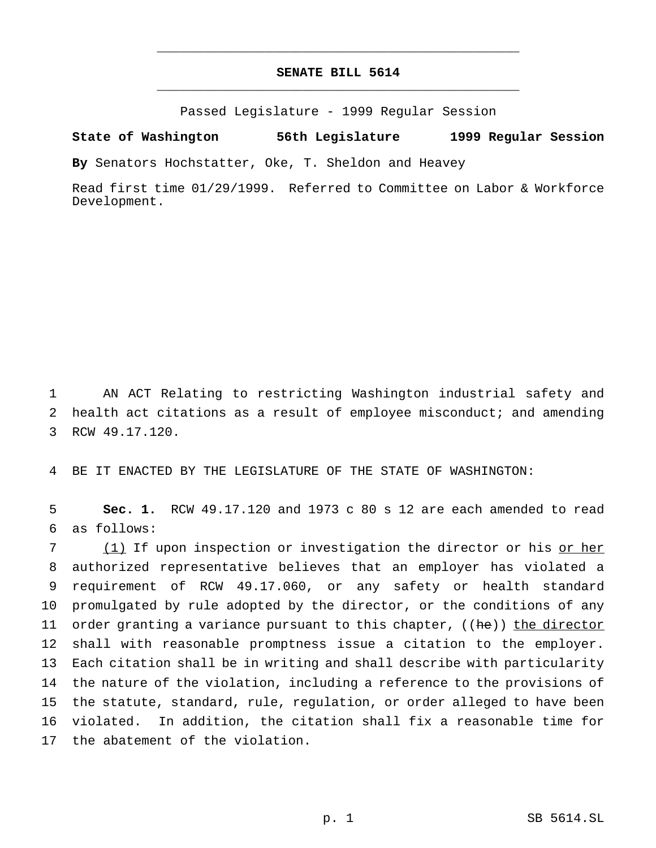# **SENATE BILL 5614** \_\_\_\_\_\_\_\_\_\_\_\_\_\_\_\_\_\_\_\_\_\_\_\_\_\_\_\_\_\_\_\_\_\_\_\_\_\_\_\_\_\_\_\_\_\_\_

\_\_\_\_\_\_\_\_\_\_\_\_\_\_\_\_\_\_\_\_\_\_\_\_\_\_\_\_\_\_\_\_\_\_\_\_\_\_\_\_\_\_\_\_\_\_\_

Passed Legislature - 1999 Regular Session

#### **State of Washington 56th Legislature 1999 Regular Session**

**By** Senators Hochstatter, Oke, T. Sheldon and Heavey

Read first time 01/29/1999. Referred to Committee on Labor & Workforce Development.

1 AN ACT Relating to restricting Washington industrial safety and 2 health act citations as a result of employee misconduct; and amending 3 RCW 49.17.120.

4 BE IT ENACTED BY THE LEGISLATURE OF THE STATE OF WASHINGTON:

5 **Sec. 1.** RCW 49.17.120 and 1973 c 80 s 12 are each amended to read 6 as follows:

7 (1) If upon inspection or investigation the director or his or her authorized representative believes that an employer has violated a requirement of RCW 49.17.060, or any safety or health standard promulgated by rule adopted by the director, or the conditions of any 11 order granting a variance pursuant to this chapter,  $((he))$  the director shall with reasonable promptness issue a citation to the employer. Each citation shall be in writing and shall describe with particularity the nature of the violation, including a reference to the provisions of the statute, standard, rule, regulation, or order alleged to have been violated. In addition, the citation shall fix a reasonable time for the abatement of the violation.